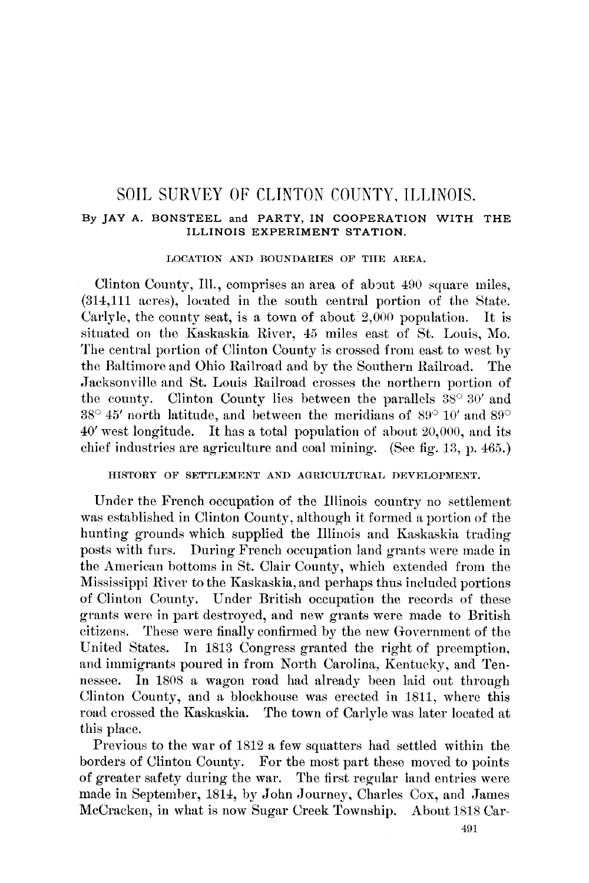# SOIL SURVEY OF CLINTON COUNTY, ILLINOIS.

# By JAY A. BONSTEEL and PARTY, IN COOPERATION WITH THE ILLINOIS EXPERIMENT STATION.

# LOCATION AND BOUNDARIES OF THE AREA.

Clinton County, Ill., comprises an area of about 490 square miles. (314,111 acres), located in the south central portion of the State. Carlyle, the county seat, is a town of about  $2,000$  population. It is situated on the Kaskaskia River, 45 miles east of St. Louis, Mo. The central portion of Clinton County is crossed from east to west by the Baltimore and Ohio Railroad and by the Southern Railroad. The Jacksonville and St. Louis Railroad crosses the northern portion of the county. Clinton County lies between the parallels  $38^{\circ} 30'$  and  $38^{\circ}$  45' north latitude, and between the meridians of  $89^{\circ}$  10' and  $89^{\circ}$  $40'$  west longitude. It has a total population of about 20,000, and its chief industries are agriculture and coal mining. (See fig. 13, p. 465.)

# HISTORY OF SETTLEMENT AND AGRICULTURAL DEVELOPMENT.

Under the French occupation of the Illinois country no settlement was established in Clinton County, although it formed a portion of the hunting grounds which supplied the Illinois and Kaskaskia trading posts with furs. During French occupation land grants were made in the American bottoms in St. Clair County, which extended from the Mississippi River to the Kaskaskia, and perhaps thus included portions of Clinton County. Under British occupation the records of these grants were in part destroyed, and new grants were made to British citizens. These were finally confirmed by the new Government of the United States. In 1813 Congress granted the right of preemption, and immigrants poured in from North Carolina, Kentucky, and Tennessee. In 1808 a wagon road had already been laid out through Clinton County, and a blockhouse was erected in 1811, where this road crossed the Kaskaskia. The town of Carlyle was later located at this place.

Previous to the war of 1812 a few squatters had settled within the borders of Clinton County. For the most part these moved to points of greater safety during the war. The first regular land entries were made in September, 1814, by John Journey, Charles Cox, and James McCracken, in what is now Sugar Creek Township. About 1818 Car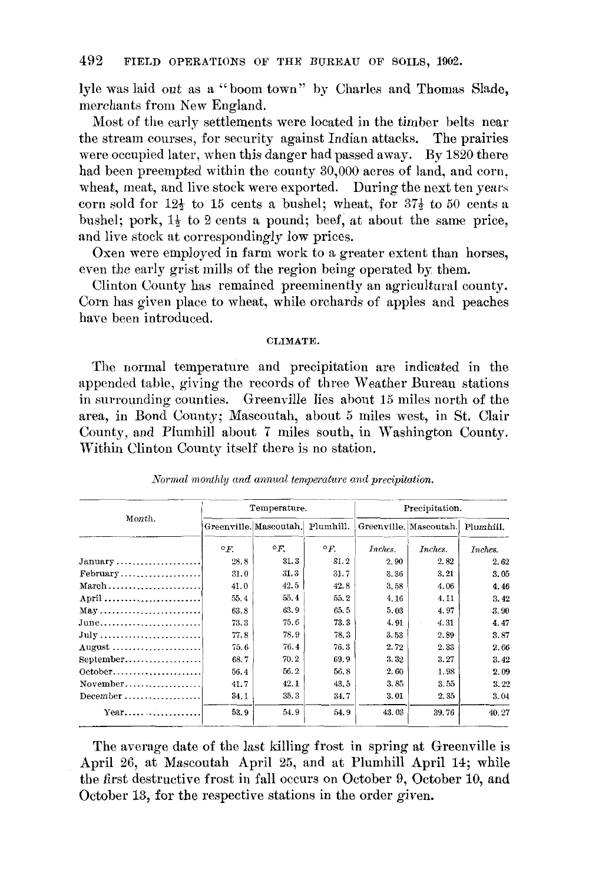lyle was laid out as a "boom town" by Charles and Thomas Slade, merchants from New England.

Most of the early settlements were located in the timber belts near the stream courses, for security against Indian attacks. The prairies were occupied later, when this danger had passed away. By 1820 there had been preempted within the county 30,000 acres of land, and corn, wheat, meat, and live stock were exported. During the next ten vears corn sold for  $12\frac{1}{2}$  to 15 cents a bushel; wheat, for  $37\frac{1}{2}$  to 50 cents a bushel; pork,  $1\frac{1}{2}$  to 2 cents a pound; beef, at about the same price, and live stock at correspondingly low prices.

Oxen were employed in farm work to a greater extent than horses. even the early grist mills of the region being operated by them.

Clinton County has remained preeminently an agricultural county. Corn has given place to wheat, while orchards of apples and peaches have been introduced.

#### **CLIMATE.**

The normal temperature and precipitation are indicated in the appended table, giving the records of three Weather Bureau stations in surrounding counties. Greenville lies about 15 miles north of the area, in Bond County; Mascoutah, about 5 miles west, in St. Clair County, and Plumhill about 7 miles south, in Washington County. Within Clinton County itself there is no station.

|                                                         |            | Temperature.                     |            |         | Precipitation.                   |         |
|---------------------------------------------------------|------------|----------------------------------|------------|---------|----------------------------------|---------|
| Month.                                                  |            | Greenville. Mascoutah. Plumhill. |            |         | Greenville, Mascoutah. Plumhill. |         |
|                                                         | $\circ$ F. | $\circ$ F.                       | $\circ$ F. | Inches. | Inches.                          | Inches. |
| $January \ldots \ldots \ldots \ldots \ldots \ldots$     | 28.8       | 31.3                             | 31.2       | 2.90    | 2.82                             | 2.62    |
| $February$                                              | 31.0       | 31.3                             | 31.7       | 3.36    | 3.21                             | 3.05    |
| $March \ldots \ldots \ldots \ldots \ldots \ldots$       | 41.0       | 42.5                             | 42.8       | 3.58    | 4.06                             | 4.46    |
| April                                                   | 55.4       | 55.4                             | 55.2       | 4.16    | 4.11                             | 3.42    |
| $May \ldots \ldots \ldots \ldots \ldots \ldots \ldots$  | 63.8       | 63.9                             | 65.5       | 5.03    | 4.97                             | 3.90    |
| June                                                    | 73.3       | 75.6                             | 73.3       | 4.91    | 4.31                             | 4.47    |
| $July \ldots \ldots \ldots \ldots \ldots \ldots \ldots$ | 77.8       | 78.9                             | 78.3       | 3.53    | 2.89                             | 3.87    |
| August                                                  | 75.6       | 76.4                             | 76.3       | 2.72    | 2.33                             | 2.66    |
| September                                               | 68.7       | 70.2                             | 69.9       | 3.32    | 3.27                             | 3.42    |
| 0ctober                                                 | 56.4       | 56.2                             | 56.8       | 2.60    | 1.98                             | 2.09    |
|                                                         | 41.7       | 42.1                             | 43.5       | 3,85    | 3.55                             | 3.22    |
| $December \ldots \ldots \ldots \ldots \ldots$           | 34.1       | 35.3                             | 34.7       | 3.01    | 2.35                             | 3.04    |
| $Year \dots \dots \dots \dots \dots$                    | 53.9       | 54.9                             | 54.9       | 43.03   | 39.76                            | 40.27   |

Normal monthly and annual temperature and precipitation.

The average date of the last killing frost in spring at Greenville is April 26, at Mascoutah April 25, and at Plumhill April 14; while the first destructive frost in fall occurs on October 9, October 10, and October 13, for the respective stations in the order given.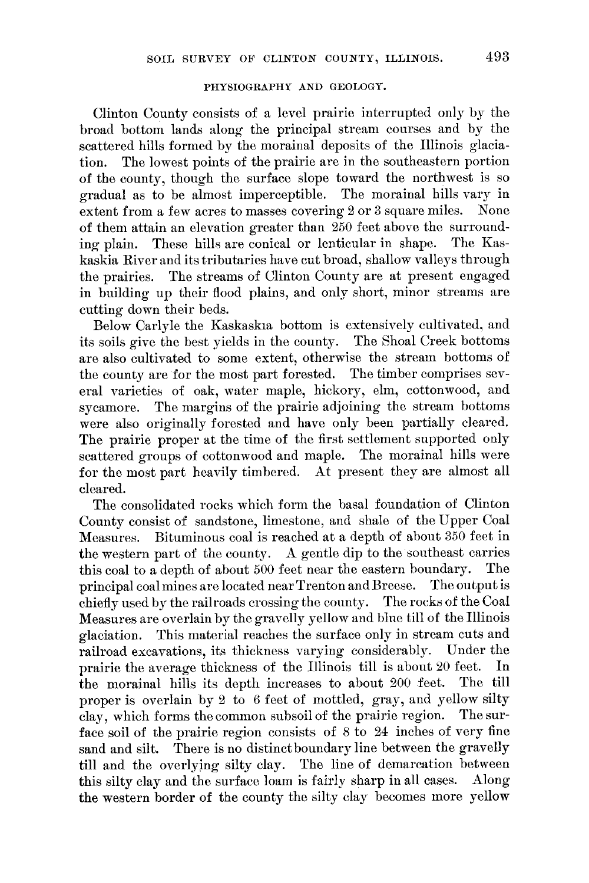#### PHYSIOGRAPHY AND GEOLOGY.

Clinton County consists of a level prairie interrupted only by the broad bottom lands along the principal stream courses and by the scattered hills formed by the morainal deposits of the Illinois glacia-The lowest points of the prairie are in the southeastern portion tion. of the county, though the surface slope toward the northwest is so gradual as to be almost imperceptible. The morainal hills vary in extent from a few acres to masses covering 2 or 3 square miles. None of them attain an elevation greater than 250 feet above the surrounding plain. These hills are conical or lenticular in shape. The Kaskaskia River and its tributaries have cut broad, shallow valleys through the prairies. The streams of Clinton County are at present engaged in building up their flood plains, and only short, minor streams are cutting down their beds.

Below Carlyle the Kaskaskia bottom is extensively cultivated, and its soils give the best yields in the county. The Shoal Creek bottoms are also cultivated to some extent, otherwise the stream bottoms of the county are for the most part forested. The timber comprises several varieties of oak, water maple, hickory, elm, cottonwood, and sycamore. The margins of the prairie adjoining the stream bottoms were also originally forested and have only been partially cleared. The prairie proper at the time of the first settlement supported only scattered groups of cottonwood and maple. The morainal hills were for the most part heavily timbered. At present they are almost all cleared.

The consolidated rocks which form the basal foundation of Clinton County consist of sandstone, limestone, and shale of the Upper Coal Measures. Bituminous coal is reached at a depth of about 350 feet in the western part of the county. A gentle dip to the southeast carries this coal to a depth of about 500 feet near the eastern boundary. The principal coal mines are located near Trenton and Breese. The output is chiefly used by the railroads crossing the county. The rocks of the Coal Measures are overlain by the gravelly yellow and blue till of the Illinois This material reaches the surface only in stream cuts and glaciation. railroad excavations, its thickness varying considerably. Under the prairie the average thickness of the Illinois till is about 20 feet. In the morainal hills its depth increases to about 200 feet. The till proper is overlain by 2 to 6 feet of mottled, gray, and yellow silty clay, which forms the common subsoil of the prairie region. The surface soil of the prairie region consists of 8 to 24 inches of very fine sand and silt. There is no distinct boundary line between the gravelly till and the overlying silty clay. The line of demarcation between this silty clay and the surface loam is fairly sharp in all cases. Along the western border of the county the silty clay becomes more yellow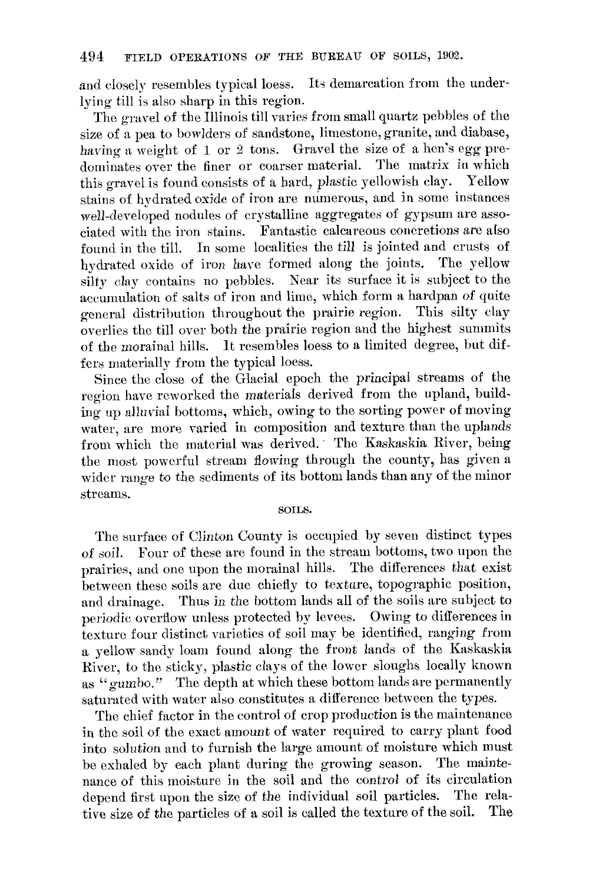and closely resembles typical loess. Its demarcation from the underlying till is also sharp in this region.

The gravel of the Illinois till varies from small quartz pebbles of the size of a pea to bowlders of sandstone, limestone, granite, and diabase, having a weight of 1 or 2 tons. Gravel the size of a hen's egg predominates over the finer or coarser material. The matrix in which this gravel is found consists of a hard, plastic yellowish clay. Yellow stains of hydrated oxide of iron are numerous, and in some instances well-developed nodules of crystalline aggregates of gypsum are associated with the iron stains. Fantastic calcareous concretions are also found in the till. In some localities the till is jointed and crusts of hydrated oxide of iron have formed along the joints. The vellow silty clay contains no pebbles. Near its surface it is subject to the accumulation of salts of iron and lime, which form a hardpan of quite general distribution throughout the prairie region. This silty clay overlies the till over both the prairie region and the highest summits of the morainal hills. It resembles loess to a limited degree, but differs materially from the typical loess.

Since the close of the Glacial epoch the principal streams of the region have reworked the materials derived from the upland, building up alluvial bottoms, which, owing to the sorting power of moving water, are more varied in composition and texture than the uplands from which the material was derived. The Kaskaskia River, being the most powerful stream flowing through the county, has given a wider range to the sediments of its bottom lands than any of the minor streams.

#### SOILS.

The surface of Clinton County is occupied by seven distinct types of soil. Four of these are found in the stream bottoms, two upon the prairies, and one upon the morainal hills. The differences that exist between these soils are due chiefly to texture, topographic position. and drainage. Thus in the bottom lands all of the soils are subject to periodic overflow unless protected by levees. Owing to differences in texture four distinct varieties of soil may be identified, ranging from a yellow sandy loam found along the front lands of the Kaskaskia River, to the sticky, plastic clays of the lower sloughs locally known as "gumbo." The depth at which these bottom lands are permanently saturated with water also constitutes a difference between the types.

The chief factor in the control of crop production is the maintenance in the soil of the exact amount of water required to carry plant food into solution and to furnish the large amount of moisture which must be exhaled by each plant during the growing season. The maintenance of this moisture in the soil and the control of its circulation depend first upon the size of the individual soil particles. The relative size of the particles of a soil is called the texture of the soil. The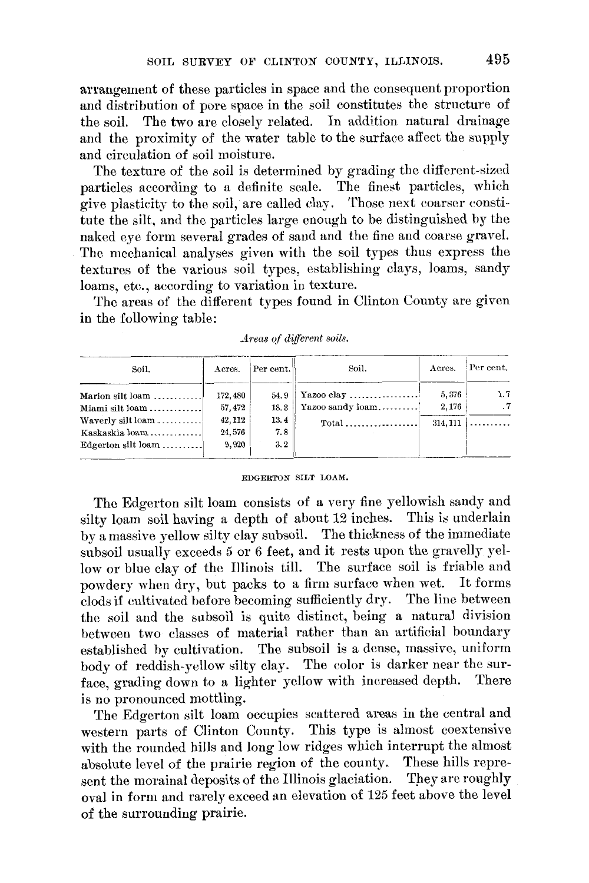arrangement of these particles in space and the consequent proportion and distribution of pore space in the soil constitutes the structure of The two are closely related. In addition natural drainage the soil. and the proximity of the water table to the surface affect the supply and circulation of soil moisture.

The texture of the soil is determined by grading the different-sized particles according to a definite scale. The finest particles, which give plasticity to the soil, are called clay. Those next coarser constitute the silt, and the particles large enough to be distinguished by the naked eye form several grades of sand and the fine and coarse gravel. The mechanical analyses given with the soil types thus express the textures of the various soil types, establishing clays, loams, sandy loams, etc., according to variation in texture.

The areas of the different types found in Clinton County are given in the following table:

| Soil.                                                                                                    | Acres.                     | Per cent.          | Soil.                          | Acres.         | Per cent.        |
|----------------------------------------------------------------------------------------------------------|----------------------------|--------------------|--------------------------------|----------------|------------------|
| Marion silt loam<br>Miami silt loam                                                                      | 172,480<br>57, 472         | 54.9<br>18.3       | Yazoo clay<br>Yazoo sandy loam | 5,376<br>2,176 | 1.7<br>$\cdot$ 7 |
| Waverly silt loam<br>Kaskaskia $\{oam$<br>Edgerton silt $\lceil \text{beam} \ldots \ldots \ldots \rceil$ | 42, 112<br>24,576<br>9.920 | 13.4<br>7.8<br>3.2 |                                | 314, 111       | .                |

Areas of different soils.

#### EDGERTON SILT LOAM.

The Edgerton silt loam consists of a very fine yellowish sandy and silty loam soil having a depth of about 12 inches. This is underlain by a massive yellow silty clay subsoil. The thickness of the immediate subsoil usually exceeds 5 or 6 feet, and it rests upon the gravelly yellow or blue clay of the Illinois till. The surface soil is friable and powdery when dry, but packs to a firm surface when wet. It forms clods if cultivated before becoming sufficiently dry. The line between the soil and the subsoil is quite distinct, being a natural division between two classes of material rather than an artificial boundary established by cultivation. The subsoil is a dense, massive, uniform body of reddish-yellow silty clay. The color is darker near the surface, grading down to a lighter yellow with increased depth. There is no pronounced mottling.

The Edgerton silt loam occupies scattered areas in the central and western parts of Clinton County. This type is almost coextensive with the rounded hills and long low ridges which interrupt the almost absolute level of the prairie region of the county. These hills represent the morainal deposits of the Illinois glaciation. They are roughly oval in form and rarely exceed an elevation of 125 feet above the level of the surrounding prairie.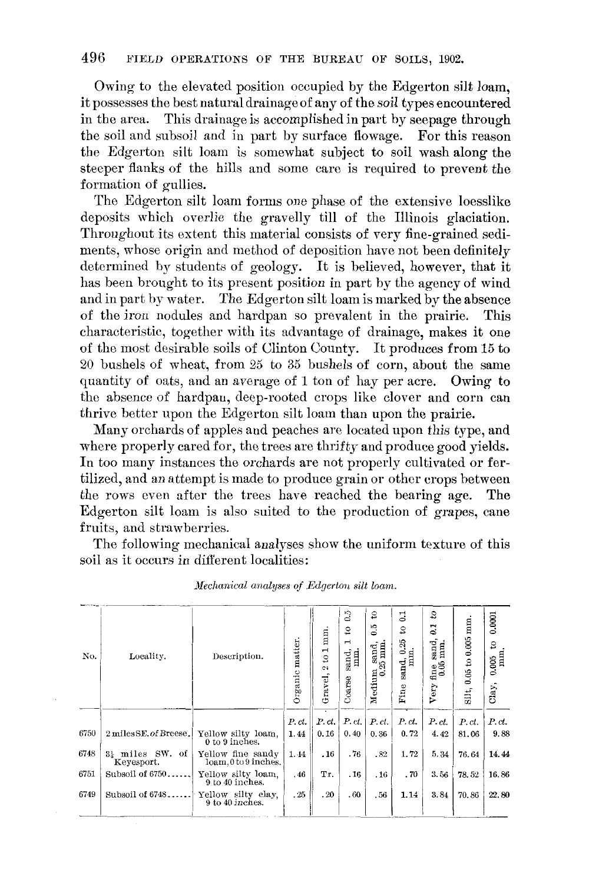Owing to the elevated position occupied by the Edgerton silt loam, it possesses the best natural drainage of any of the soil types encountered in the area. This drainage is accomplished in part by seepage through the soil and subsoil and in part by surface flowage. For this reason the Edgerton silt loam is somewhat subject to soil wash along the steeper flanks of the hills and some care is required to prevent the formation of gullies.

The Edgerton silt loam forms one phase of the extensive loesslike deposits which overlie the gravelly till of the Illinois glaciation. Throughout its extent this material consists of very fine-grained sediments, whose origin and method of deposition have not been definitely determined by students of geology. It is believed, however, that it has been brought to its present position in part by the agency of wind and in part by water. The Edgerton silt loam is marked by the absence of the iron nodules and hardpan so prevalent in the prairie. This characteristic, together with its advantage of drainage, makes it one of the most desirable soils of Clinton County. It produces from 15 to 20 bushels of wheat, from 25 to 35 bushels of corn, about the same quantity of oats, and an average of 1 ton of hay per acre. Owing to the absence of hardpan, deep-rooted crops like clover and corn can thrive better upon the Edgerton silt loam than upon the prairie.

Many orchards of apples and peaches are located upon this type, and where properly cared for, the trees are thrifty and produce good yields. In too many instances the orchards are not properly cultivated or fertilized, and an attempt is made to produce grain or other crops between the rows even after the trees have reached the bearing age. The Edgerton silt loam is also suited to the production of grapes, cane fruits, and strawberries.

The following mechanical analyses show the uniform texture of this soil as it occurs in different localities:

| No.  | Locality.                        | Description.                              | Organic matter. | mm.<br>$\mathbf{r}$<br>$\mathbf{S}$<br>C1<br>Gravel, | $\ddot{\circ}$<br>S<br>$\blacksquare$<br>mm.<br>sand,<br>Coarse | $\mathfrak{S}$<br>0.5<br>$M$ edium sand, $0.25$ mm. | $\overline{0.1}$<br>S,<br>0.25<br>$\frac{1}{2}$ and $\frac{1}{2}$ .<br>Fine | °<br>$\overline{c}$<br>sand,<br>mm.<br>fine $\frac{1}{0.05}$<br>Very | $0.05$ to $0.005$ mm<br>Silt, | 0.0001<br>S,<br>$0.005$ mm.<br>Clay, |
|------|----------------------------------|-------------------------------------------|-----------------|------------------------------------------------------|-----------------------------------------------------------------|-----------------------------------------------------|-----------------------------------------------------------------------------|----------------------------------------------------------------------|-------------------------------|--------------------------------------|
| 6750 | 2 miles SE, of Breese,           | Yellow silty loam.<br>0 to 9 inches.      | P.ct.<br>1.44   | P, ct<br>0.16                                        | P.ct.<br>0.40                                                   | P.ct.<br>0.36                                       | P.ct.<br>0.72                                                               | P.ct.<br>4.42                                                        | P.ct.<br>81.06                | P.ct.<br>9.88                        |
| 6748 | 3} miles<br>SW. of<br>Keyesport. | Yellow fine sandy<br>loam, 0 to 9 inches. | 1.44            | .16                                                  | .76                                                             | .82                                                 | 1.72                                                                        | 5.34                                                                 | 76.64                         | 14.44                                |
| 6751 | Subsoil of 6750                  | Yellow silty loam,<br>9 to 40 inches.     | . 46            | Тr.                                                  | .16                                                             | .16                                                 | .70                                                                         | 3.56                                                                 | 78.52                         | 16.86                                |
| 6749 | Subsoil of 6748                  | Yellow silty clay.<br>9 to 40 inches.     | .25             | .20                                                  | .60                                                             | .56                                                 | 1.14                                                                        | 3.84                                                                 | 70.86                         | 22.80                                |

Mechanical analyses of Edgerton silt loam.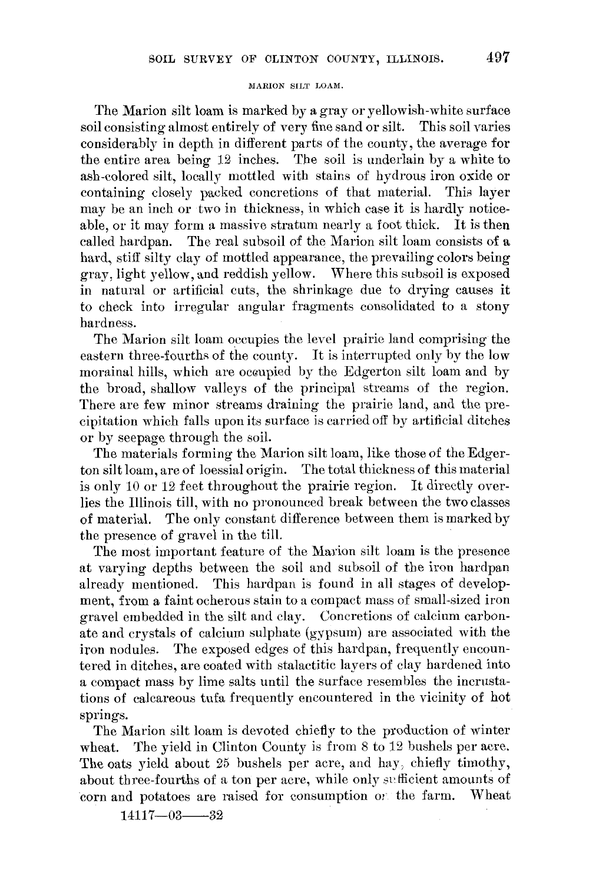## MARION SILT LOAM.

The Marion silt loam is marked by a gray or yellowish-white surface soil consisting almost entirely of very fine sand or silt. This soil varies considerably in depth in different parts of the county, the average for the entire area being 12 inches. The soil is underlain by a white to ash-colored silt, locally mottled with stains of hydrous iron oxide or containing closely packed concretions of that material. This laver may be an inch or two in thickness, in which case it is hardly noticeable, or it may form a massive stratum nearly a foot thick. It is then called hardpan. The real subsoil of the Marion silt loam consists of a hard, stiff silty clay of mottled appearance, the prevailing colors being gray, light vellow, and reddish vellow. Where this subsoil is exposed in natural or artificial cuts, the shrinkage due to drying causes it to check into irregular angular fragments consolidated to a stony hardness.

The Marion silt loam occupies the level prairie land comprising the eastern three-fourths of the county. It is interrupted only by the low morainal hills, which are occupied by the Edgerton silt loam and by the broad, shallow valleys of the principal streams of the region. There are few minor streams draining the prairie land, and the precipitation which falls upon its surface is carried off by artificial ditches or by seepage through the soil.

The materials forming the Marion silt loam, like those of the Edgerton silt loam, are of loessial origin. The total thickness of this material is only 10 or 12 feet throughout the prairie region. It directly overlies the Illinois till, with no pronounced break between the two classes of material. The only constant difference between them is marked by the presence of gravel in the till.

The most important feature of the Marion silt loam is the presence at varying depths between the soil and subsoil of the iron hardpan already mentioned. This hardpan is found in all stages of development, from a faint ocherous stain to a compact mass of small-sized iron gravel embedded in the silt and clay. Concretions of calcium carbonate and crystals of calcium sulphate (gypsum) are associated with the iron nodules. The exposed edges of this hardpan, frequently encountered in ditches, are coated with stalactitic layers of clay hardened into a compact mass by lime salts until the surface resembles the incrustations of calcareous tufa frequently encountered in the vicinity of hot springs.

The Marion silt loam is devoted chiefly to the production of winter The yield in Clinton County is from 8 to 12 bushels per acre. wheat. The oats yield about 25 bushels per acre, and hay, chiefly timothy, about three-fourths of a ton per acre, while only sufficient amounts of corn and potatoes are raised for consumption on the farm. Wheat

 $14117 - 03 - 32$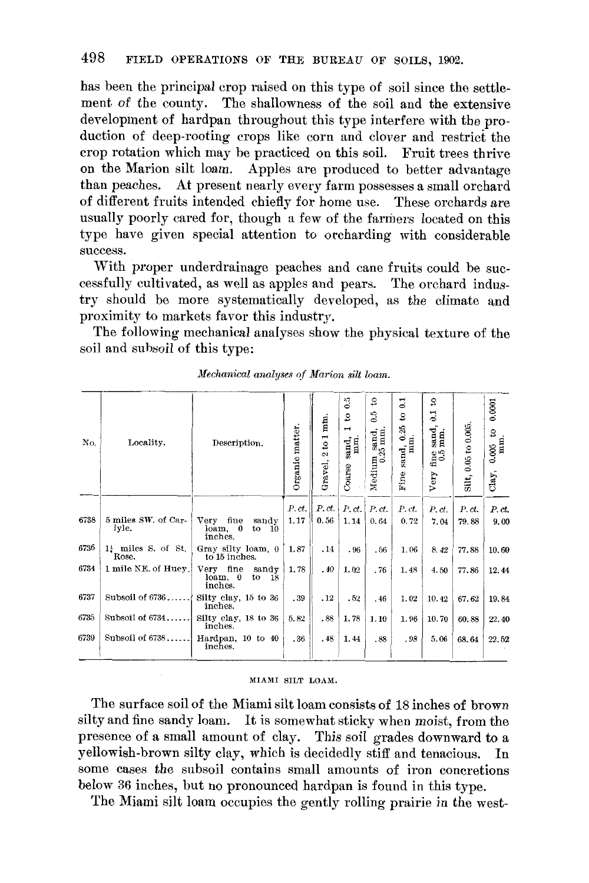has been the principal crop raised on this type of soil since the settlement of the county. The shallowness of the soil and the extensive development of hardpan throughout this type interfere with the production of deep-rooting crops like corn and clover and restrict the crop rotation which may be practiced on this soil. Fruit trees thrive on the Marion silt loam. Apples are produced to better advantage than peaches. At present nearly every farm possesses a small orchard of different fruits intended chiefly for home use. These orchards are usually poorly cared for, though a few of the farmers located on this type have given special attention to orcharding with considerable success.

With proper underdrainage peaches and cane fruits could be successfully cultivated, as well as apples and pears. The orchard industry should be more systematically developed, as the climate and proximity to markets favor this industry.

The following mechanical analyses show the physical texture of the soil and subsoil of this type:

| Locality.                               | Description.                                                    | Organic matter. | $\frac{1}{2}$ mm.<br>$\sim$<br>Gravel, | 0.5<br>$\mathbf{S}$<br>$\blacksquare$<br>sand,<br>Coarse | S<br>0.5<br>Medium sand, $0.25$ mm. | $\Xi$<br>S<br>25<br>$\begin{array}{c}\n\text{sand, 0.2}\n\text{mm.}\n\end{array}$ | S<br>3<br>sand,<br>mm.<br>$^{\rm fine}_{\rm 0.5}$ | Silt, 0.05 to 0.005. | 0.0001<br>$0.005$ to $\,$ mm. |
|-----------------------------------------|-----------------------------------------------------------------|-----------------|----------------------------------------|----------------------------------------------------------|-------------------------------------|-----------------------------------------------------------------------------------|---------------------------------------------------|----------------------|-------------------------------|
|                                         |                                                                 |                 |                                        |                                                          |                                     | Fine                                                                              | Very                                              |                      | Clay,                         |
|                                         |                                                                 | P.ct.           |                                        | P.ct.                                                    | P.ct.                               | P.ct.                                                                             |                                                   |                      | P.ct.                         |
| 5 miles SW, of Car-<br>lyle.            | Very fine<br>sandy<br>$loam$ , $0$<br>$\text{to}$ 10<br>inches. | 1.17            | 0.56                                   | 1.14                                                     | 0.64                                | 0.72                                                                              | 7.04                                              | 79.88                | 9.00                          |
| $1\frac{1}{4}$ miles S. of St.<br>Rose. | Gray silty loam, 0<br>to 15 inches.                             | 1.87            | .14                                    | .96                                                      | .56                                 | 1.06                                                                              | 8.42                                              | 77.88                | 10.60                         |
| 1 mile NE. of Huey.                     | Very fine<br>sandy<br>loam. 0<br>to<br>18<br>inches.            | 1.78            | .40                                    | 1.02                                                     | .76                                 | 1.48                                                                              | 4.50                                              | 77.86                | 12.44                         |
| Subsoil of 6736                         | Silty clay, 15 to 36<br>inches.                                 | .39             | .12                                    | .52                                                      | .46                                 | 1.02                                                                              | 10.42                                             | 67.62                | 19.84                         |
| Subsoil of 6734                         | Silty clay, 18 to 36<br>inches.                                 | 5.82            | .88                                    | 1.78                                                     | 1.10                                | 1.96                                                                              | 10.70                                             | 60.88                | 22.40                         |
| Subsoil of $6738$                       | Hardpan, 10 to 40<br>inches.                                    | .36             | .48                                    | 1.44                                                     | .88                                 | .98                                                                               | 5.06                                              | 68.64                | 22.52                         |
|                                         |                                                                 |                 |                                        |                                                          | P. ct.                              |                                                                                   |                                                   | P.ct.                | P. ct.                        |

# Mechanical analyses of Marion silt loam.

#### MIAMI SILT LOAM.

The surface soil of the Miami silt loam consists of 18 inches of brown silty and fine sandy loam. It is somewhat sticky when moist, from the presence of a small amount of clay. This soil grades downward to a yellowish-brown silty clay, which is decidedly stiff and tenacious. In some cases the subsoil contains small amounts of iron concretions below 36 inches, but no pronounced hardpan is found in this type.

The Miami silt loam occupies the gently rolling prairie in the west-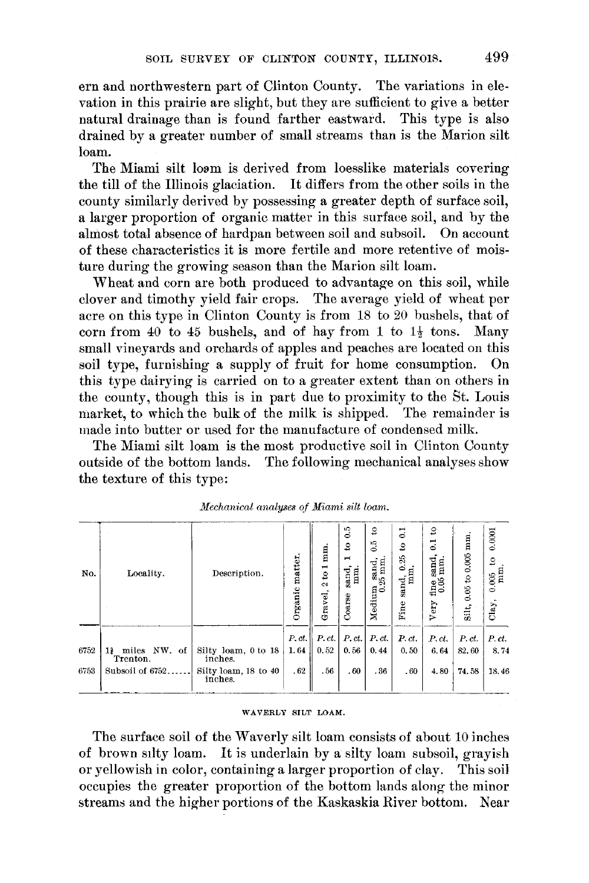ern and northwestern part of Clinton County. The variations in elevation in this prairie are slight, but they are sufficient to give a better natural drainage than is found farther eastward. This type is also drained by a greater number of small streams than is the Marion silt loam.

The Miami silt loam is derived from loesslike materials covering the till of the Illinois glaciation. It differs from the other soils in the county similarly derived by possessing a greater depth of surface soil, a larger proportion of organic matter in this surface soil, and by the almost total absence of hardpan between soil and subsoil. On account of these characteristics it is more fertile and more retentive of moisture during the growing season than the Marion silt loam.

Wheat and corn are both produced to advantage on this soil, while clover and timothy yield fair crops. The average yield of wheat per acre on this type in Clinton County is from 18 to 20 bushels, that of corn from 40 to 45 bushels, and of hay from 1 to  $1\frac{1}{2}$  tons. Many small vineyards and orchards of apples and peaches are located on this soil type, furnishing a supply of fruit for home consumption.  $On$ this type dairying is carried on to a greater extent than on others in the county, though this is in part due to proximity to the St. Louis market, to which the bulk of the milk is shipped. The remainder is made into butter or used for the manufacture of condensed milk.

The Miami silt loam is the most productive soil in Clinton County outside of the bottom lands. The following mechanical analyses show the texture of this type:

| No.  | Locality.                         | Description.                    | matter.<br>Organic | mm.<br>$\overline{\phantom{0}}$<br>$\mathfrak{S}$<br>$\sim$<br>Gravel, | °°,<br>$\mathbf{S}$<br>$\mathbf{\mathbf{r}}$<br>mm.<br>sand,<br>Coarse | S<br>$\ddot{\circ}$<br>Medium sand, $0.25$ mm | ្ជ<br>$\mathbf{S}$<br>0.25<br>$\frac{1}{2}$<br>Fine | ន<br>$\overline{5}$<br>sand,<br>mm.<br>$\frac{6}{100}$<br>Very | mm<br>to 0.005<br>0.05<br>Silt, | 0.0001<br>2<br>0.005<br>$Clay$ . |
|------|-----------------------------------|---------------------------------|--------------------|------------------------------------------------------------------------|------------------------------------------------------------------------|-----------------------------------------------|-----------------------------------------------------|----------------------------------------------------------------|---------------------------------|----------------------------------|
| 6752 | NW, of<br>miles<br>11<br>Trenton. | Silty loam, 0 to 18<br>inches.  | P.ct.<br>1.64      | P.ct.<br>0.52                                                          | P.ct.<br>0.56                                                          | P.ct.<br>0.44                                 | P.ct.<br>0.50                                       | $P.$ ct.<br>6.64                                               | P.ct.<br>82.60                  | P.ct.<br>8.74                    |
| 6753 | Subsoil of 6752                   | Silty loam, 18 to 40<br>inches. | .62                | .56                                                                    | .60                                                                    | .36                                           | .60                                                 | 4.80                                                           | 74.58                           | 18.46                            |

| Mechanical analyses of Miami silt loam. |  |  |  |  |  |
|-----------------------------------------|--|--|--|--|--|
|-----------------------------------------|--|--|--|--|--|

#### WAVERLY SILT LOAM.

The surface soil of the Waverly silt loam consists of about 10 inches of brown silty loam. It is underlain by a silty loam subsoil, grayish or yellowish in color, containing a larger proportion of clay. This soil occupies the greater proportion of the bottom lands along the minor streams and the higher portions of the Kaskaskia River bottom. Near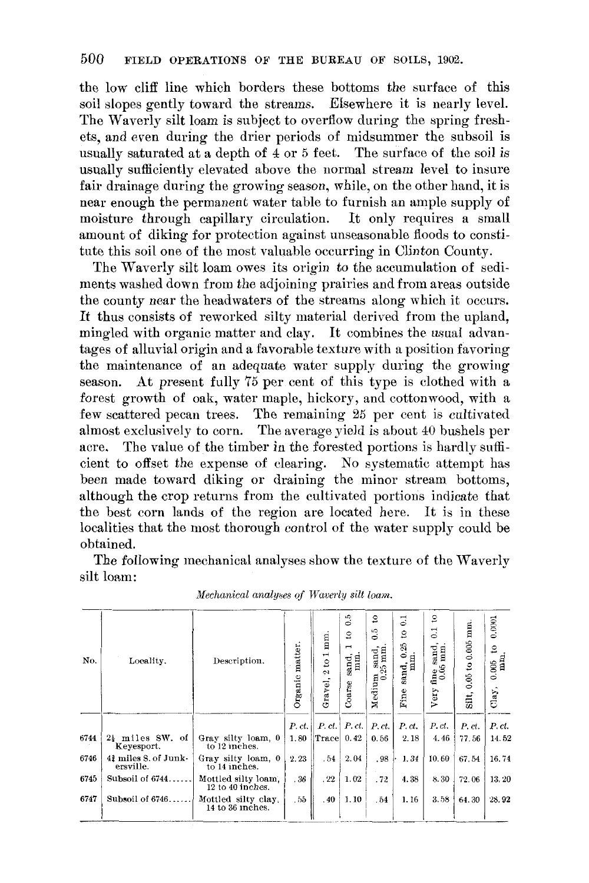the low cliff line which borders these bottoms the surface of this soil slopes gently toward the streams. Elsewhere it is nearly level. The Waverly silt loam is subject to overflow during the spring freshets, and even during the drier periods of midsummer the subsoil is usually saturated at a depth of 4 or 5 feet. The surface of the soil is usually sufficiently elevated above the normal stream level to insure fair drainage during the growing season, while, on the other hand, it is near enough the permanent water table to furnish an ample supply of moisture through capillary circulation. It only requires a small amount of diking for protection against unseasonable floods to constitute this soil one of the most valuable occurring in Clinton County.

The Waverly silt loam owes its origin to the accumulation of sediments washed down from the adjoining prairies and from areas outside the county near the headwaters of the streams along which it occurs. It thus consists of reworked silty material derived from the upland, mingled with organic matter and clay. It combines the usual advantages of alluvial origin and a favorable texture with a position favoring the maintenance of an adequate water supply during the growing season. At present fully 75 per cent of this type is clothed with a forest growth of oak, water maple, hickory, and cottonwood, with a few scattered pecan trees. The remaining 25 per cent is cultivated almost exclusively to corn. The average yield is about 40 bushels per The value of the timber in the forested portions is hardly suffiacre. cient to offset the expense of clearing. No systematic attempt has been made toward diking or draining the minor stream bottoms, although the crop returns from the cultivated portions indicate that the best corn lands of the region are located here. It is in these localities that the most thorough control of the water supply could be obtained.

The following mechanical analyses show the texture of the Waverly silt loam:

| No.  | Locality.                         | Description.                            | matter.<br>Organic | mm.<br>$\frac{1}{2}$<br>2<br>Gravel, | 0.5<br>$\mathbf{c}$<br>$\overline{\phantom{0}}$<br>mm.<br>sand<br>Coarse | $\mathbf{S}$<br>6.5<br>m sand, $0.25$ mm.<br>Medium | $\Xi$<br>$\mathbf{e}$<br>0.25<br>sand, 0.<br>mm.<br>Fine | $\mathbf{c}$<br>$\Xi$<br>sand,<br>$0.05$ mm<br>fine<br>Very | mm<br>$0.05$ to $0.005$<br>Silt, | 0.0001<br>$\overline{c}$<br>0.005<br>$Clay$ , |
|------|-----------------------------------|-----------------------------------------|--------------------|--------------------------------------|--------------------------------------------------------------------------|-----------------------------------------------------|----------------------------------------------------------|-------------------------------------------------------------|----------------------------------|-----------------------------------------------|
| 6744 | 24 miles SW, of<br>Keyesport.     | Gray silty loam, 0<br>to 12 inches.     | P.ct.<br>1.80      | $P.$ $ct.$<br>Trace                  | P. ct.<br>0.42                                                           | P.ct.<br>0.56                                       | P.ct.<br>2.18                                            | P.ct.<br>4.46                                               | P. ci.<br>77.56                  | P.ct.<br>14.52                                |
| 6746 | 42 miles S. of Junk-<br>ersville. | Gray silty loam, 0<br>to 14 inches.     | 2.23               | . 54                                 | 2.04                                                                     | .98                                                 | 1.34                                                     | 10.60                                                       | 67.54                            | 16.74                                         |
| 6745 | Subsoil of 6744.                  | Mottled silty loam.<br>12 to 40 inches. | .36                | .22                                  | 1.02                                                                     | .72                                                 | 4.38                                                     | 8.30                                                        | 72.06                            | 13.20                                         |
| 6747 | Subsoil of 6746                   | Mottled silty clay.<br>14 to 36 inches. | .55                | .40                                  | 1.10                                                                     | .54                                                 | 1.16                                                     | 3.58                                                        | 64.30                            | 28.92                                         |

| Mechanical analyses of Waverly silt loam |  |  |  |  |  |
|------------------------------------------|--|--|--|--|--|
|------------------------------------------|--|--|--|--|--|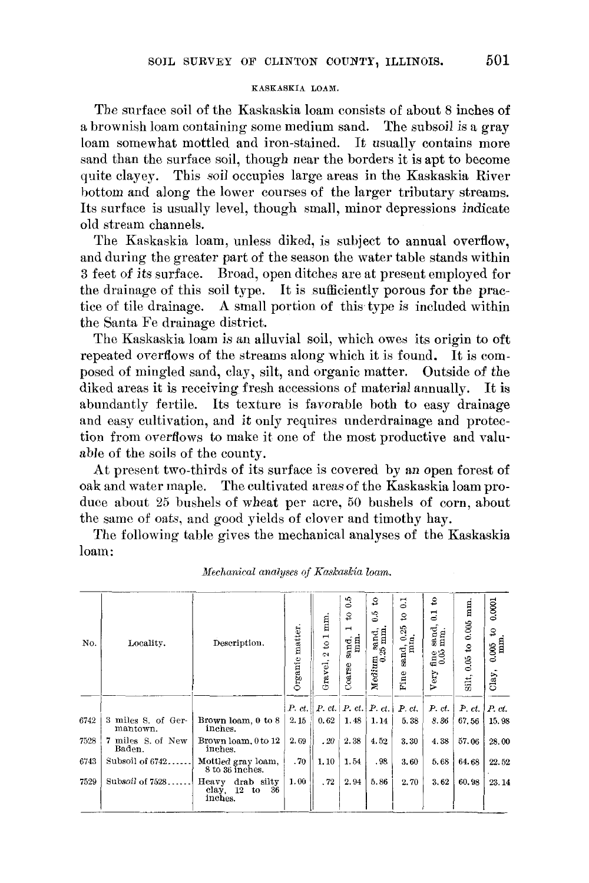#### KASKASKIA LOAM.

The surface soil of the Kaskaskia loam consists of about 8 inches of a brownish loam containing some medium sand. The subsoil is a gray loam somewhat mottled and iron-stained. It usually contains more sand than the surface soil, though near the borders it is apt to become quite clayey. This soil occupies large areas in the Kaskaskia River bottom and along the lower courses of the larger tributary streams. Its surface is usually level, though small, minor depressions indicate old stream channels.

The Kaskaskia loam, unless diked, is subject to annual overflow, and during the greater part of the season the water table stands within 3 feet of its surface. Broad, open ditches are at present employed for the drainage of this soil type. It is sufficiently porous for the practice of tile drainage. A small portion of this type is included within the Santa Fe drainage district.

The Kaskaskia loam is an alluvial soil, which owes its origin to oft repeated overflows of the streams along which it is found. It is composed of mingled sand, clay, silt, and organic matter. Outside of the diked areas it is receiving fresh accessions of material annually. It is abundantly fertile. Its texture is favorable both to easy drainage and easy cultivation, and it only requires underdrainage and protection from overflows to make it one of the most productive and valuable of the soils of the county.

At present two-thirds of its surface is covered by an open forest of oak and water maple. The cultivated areas of the Kaskaskia loam produce about 25 bushels of wheat per acre, 50 bushels of corn, about the same of oats, and good yields of clover and timothy hay.

The following table gives the mechanical analyses of the Kaskaskia loam:

| No.  | Locality.                      | Description.                                          | Organic matter. | mm.<br>$\overline{\phantom{0}}$<br>$\mathbf{S}$<br>2<br>Gravel, | $\ddot{\circ}$<br>$\mathbf{S}$<br>$\blacksquare$<br>$\lim_{x\to a}$<br>sand.<br>Coarse | g<br>0.5<br>$m$ sand, $0.25$ mm.<br>Medium | $\mathbf{C}$<br>$\mathbf{S}$<br>25<br><br>ਸ਼ਬਲ<br>ਸ<br>sand,<br>Fine | S<br>$\Xi$<br>sand,<br>mm.<br>fine<br>$0.05$<br>Very | mm.<br>0.005<br>$\boldsymbol{\mathsf{s}}$<br>0.05<br>Silt, | 0.0001<br>$\mathbf{s}$<br>$0.005$<br>mm.<br>Clay, |
|------|--------------------------------|-------------------------------------------------------|-----------------|-----------------------------------------------------------------|----------------------------------------------------------------------------------------|--------------------------------------------|----------------------------------------------------------------------|------------------------------------------------------|------------------------------------------------------------|---------------------------------------------------|
|      |                                |                                                       | P. ct.          |                                                                 | P. ct.   P. ct.                                                                        | P. ct.                                     | P.ct.                                                                | P.ct.                                                | P.ct.                                                      | P. ct.                                            |
| 6742 | 3 miles S. of Ger-<br>mantown. | Brown loam, 0 to 8<br>inches.                         | 2.15            | 0.62                                                            | 1.48                                                                                   | 1.14                                       | 5.38                                                                 | 8.36                                                 | 67.56                                                      | 15.98                                             |
| 7528 | 7 miles S. of New<br>Baden.    | Brown loam, 0 to 12<br>inches.                        | 2.69            | .20                                                             | 2.38                                                                                   | 4.52                                       | 3.30                                                                 | 4.38                                                 | 57.06                                                      | 28.00                                             |
| 6743 | Subsoil of 6742                | Mottled gray loam,<br>8 to 36 inches.                 | .70             | 1.10                                                            | 1.54                                                                                   | .98                                        | 3.60                                                                 | 5.68                                                 | 64.68                                                      | 22.52                                             |
| 7529 | Subsoil of 7528                | drab silty<br>Heavy<br>clay, $12$ to<br>36<br>inches. | 1.00            | .72                                                             | 2.94                                                                                   | 5.86                                       | 2.70                                                                 | 3.62                                                 | 60.98                                                      | 23.14                                             |

Mechanical analyses of Kaskaskia loam.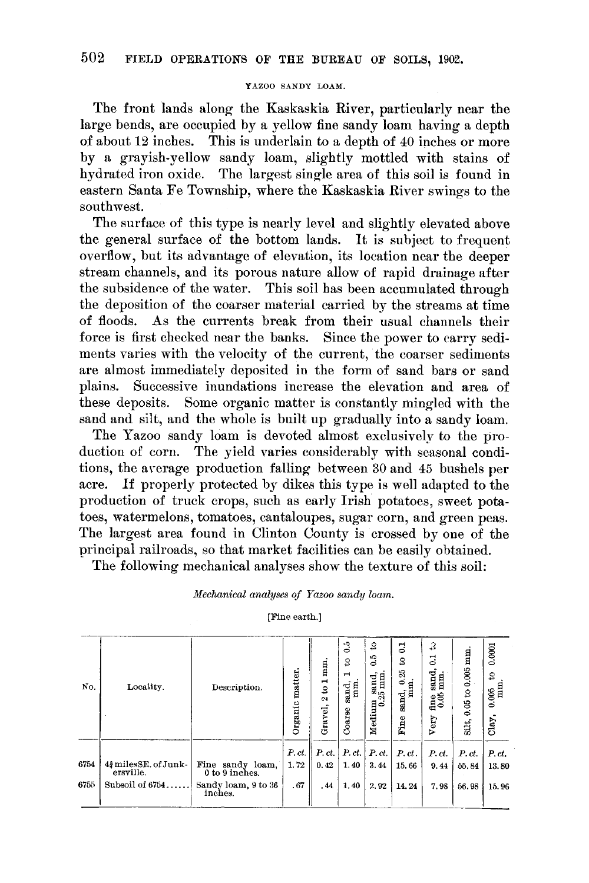#### YAZOO SANDY LOAM.

The front lands along the Kaskaskia River, particularly near the large bends, are occupied by a yellow fine sandy loam having a depth of about 12 inches. This is underlain to a depth of 40 inches or more by a gravish-yellow sandy loam, slightly mottled with stains of hydrated iron oxide. The largest single area of this soil is found in eastern Santa Fe Township, where the Kaskaskia River swings to the southwest.

The surface of this type is nearly level and slightly elevated above the general surface of the bottom lands. It is subject to frequent overflow, but its advantage of elevation, its location near the deeper stream channels, and its porous nature allow of rapid drainage after the subsidence of the water. This soil has been accumulated through the deposition of the coarser material carried by the streams at time of floods. As the currents break from their usual channels their force is first checked near the banks. Since the power to carry sediments varies with the velocity of the current, the coarser sediments are almost immediately deposited in the form of sand bars or sand Successive inundations increase the elevation and area of plains. these deposits. Some organic matter is constantly mingled with the sand and silt, and the whole is built up gradually into a sandy loam.

The Yazoo sandy loam is devoted almost exclusively to the pro-The yield varies considerably with seasonal condiduction of corn. tions, the average production falling between 30 and 45 bushels per acre. If properly protected by dikes this type is well adapted to the production of truck crops, such as early Irish potatoes, sweet potatoes, watermelons, tomatoes, cantaloupes, sugar corn, and green peas. The largest area found in Clinton County is crossed by one of the principal railroads, so that market facilities can be easily obtained.

The following mechanical analyses show the texture of this soil:

Mechanical analyses of Yazoo sandy loam.

[Fine earth.]

| No.  | Locality.                          | Description.                       | matter.<br>Organic | mm.<br>$\frac{1}{2}$<br>$\mathbf{\hat{z}}$<br>Gravel, | $\ddot{\circ}$<br>S<br>$\overline{\phantom{0}}$<br>sand,<br>mm<br>Coarse | S,<br>6.5<br>Medium sand,<br>0.25 mm | ತ<br>S<br>0.25<br>٤<br>Ε<br>sand,<br>Fine | 3<br>కె<br>sand<br>mm.<br>$\frac{6}{6}$<br>Very | mm<br>to 0.005<br>0.05<br>Silt, | 0.0001<br>2<br>0.005<br>Clay, |
|------|------------------------------------|------------------------------------|--------------------|-------------------------------------------------------|--------------------------------------------------------------------------|--------------------------------------|-------------------------------------------|-------------------------------------------------|---------------------------------|-------------------------------|
| 6754 | 42 miles SE, of Junk-<br>ersville. | Fine sandy loam,<br>0 to 9 inches. | P, ct.<br>1.72     | P.ct.<br>0.42                                         | P.ct.<br>1.40                                                            | P.ct.<br>3.44                        | P.ct.<br>15.66                            | P.ct.<br>9.44                                   | P.ct.<br>55.84                  | P.ct.<br>13.80                |
| 6755 | Subsoil of 6754                    | Sandy loam, 9 to 36<br>inches.     | .67                | . 44                                                  | 1.40                                                                     | 2.92                                 | 14.24                                     | 7.98                                            | 56.98                           | 15.96                         |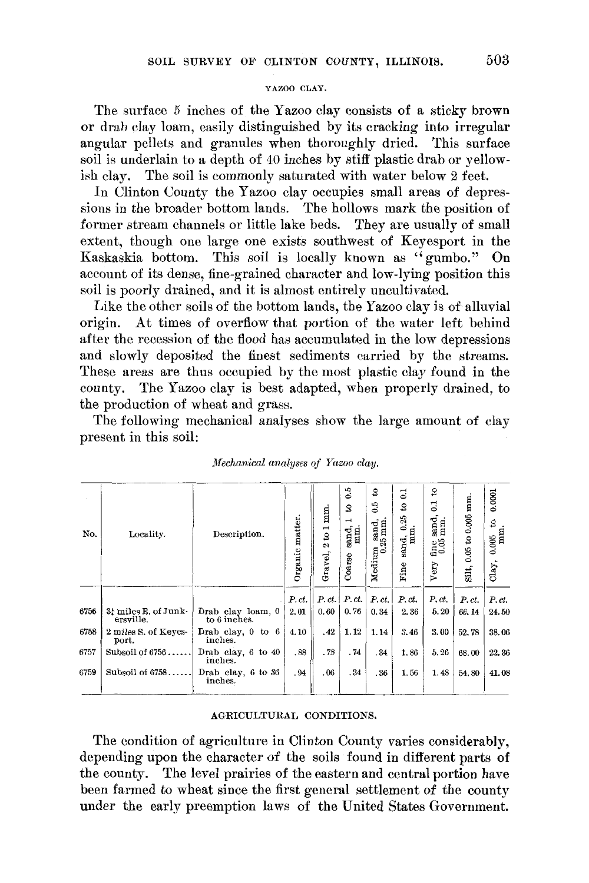# YAZOO CLAY.

The surface 5 inches of the Yazoo clay consists of a sticky brown or drab clay loam, easily distinguished by its cracking into irregular angular pellets and granules when thoroughly dried. This surface soil is underlain to a depth of 40 inches by stiff plastic drab or yellowish clay. The soil is commonly saturated with water below 2 feet.

In Clinton County the Yazoo clay occupies small areas of depressions in the broader bottom lands. The hollows mark the position of former stream channels or little lake beds. They are usually of small extent, though one large one exists southwest of Keyesport in the Kaskaskia bottom. This soil is locally known as "gumbo." On account of its dense, fine-grained character and low-lying position this soil is poorly drained, and it is almost entirely uncultivated.

Like the other soils of the bottom lands, the Yazoo clay is of alluvial At times of overflow that portion of the water left behind origin. after the recession of the flood has accumulated in the low depressions and slowly deposited the finest sediments carried by the streams. These areas are thus occupied by the most plastic clay found in the county. The Yazoo clay is best adapted, when properly drained, to the production of wheat and grass.

The following mechanical analyses show the large amount of clay present in this soil:

| No.  | Locality.                         | Description.                                     | Organic matter. | mm.<br>$\frac{1}{8}$<br>$\mathbf{c}$<br>Gravel, | 0.5<br>S<br>⊣<br>sand,<br>mm.<br>Coarse | $\mathfrak{S}$<br>6.5<br>Medium sand,<br>0.25 mm. | $\overline{0}$<br>3<br>0.25<br>mm<br>sand,<br>Fine | S,<br>ತ<br>sand,<br>mm.<br>$\frac{6}{1000}$<br>Very | mm<br>to 0.005<br>0.05<br>Silt, | 0.0001<br>S,<br>mm<br>$0.005$<br>Clay, |
|------|-----------------------------------|--------------------------------------------------|-----------------|-------------------------------------------------|-----------------------------------------|---------------------------------------------------|----------------------------------------------------|-----------------------------------------------------|---------------------------------|----------------------------------------|
| 6756 | 3! miles E. of Junk-<br>ersville. | Drab clay loam, 0                                | P.ct.<br>2.01   | 0.60                                            | $P, ct$ , $P, ct$ ,<br>0.76             | P.ct.<br>0.34                                     | P.ct.<br>2.36                                      | P.ct.<br>5.20                                       | P.ct.<br>66.14                  | P.ct.<br>24.50                         |
| 6758 | 2 miles S. of Keyes-<br>port.     | to 6 inches.<br>Drab clay, $0$ to $6$<br>inches. | 4.10            | .42                                             | 1.12                                    | 1.14                                              | 3.46                                               | 3.00                                                | 52.78                           | 38.06                                  |
| 6757 | Subsoil of $6756$                 | Drab clay, $6 \text{ to } 40$<br>inches.         | .88             | .78                                             | .74                                     | .34                                               | 1.86                                               | 5.26                                                | 68.00                           | 22.36                                  |
| 6759 | Subsoil of 6758                   | Drab clay, 6 to 36<br>inches.                    | .94             | .06                                             | .34                                     | .36                                               | 1.56                                               | 1.48                                                | 54.80                           | 41.08                                  |

#### Mechanical analyses of Yazoo clay.

# AGRICULTURAL CONDITIONS.

The condition of agriculture in Clinton County varies considerably. depending upon the character of the soils found in different parts of the county. The level prairies of the eastern and central portion have been farmed to wheat since the first general settlement of the county under the early preemption laws of the United States Government.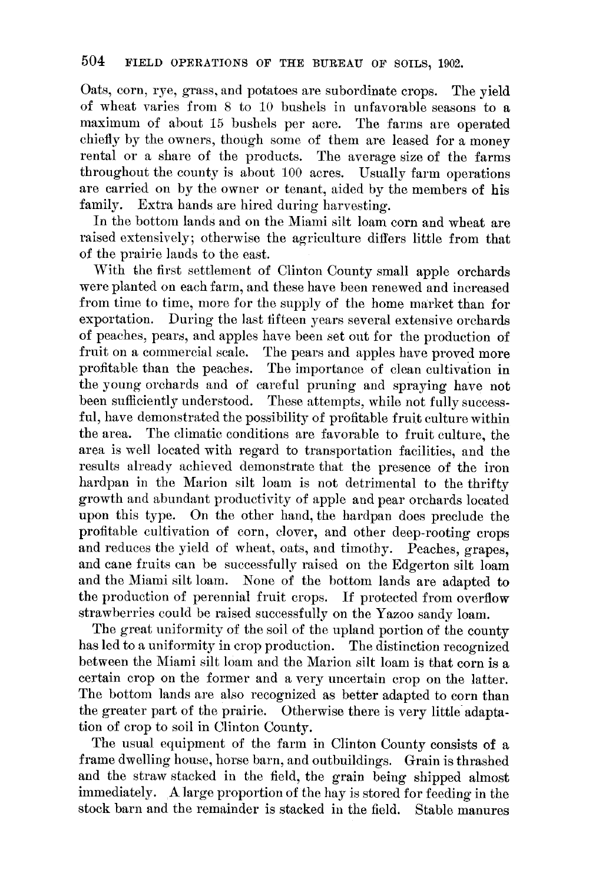Oats, corn, rye, grass, and potatoes are subordinate crops. The vield of wheat varies from 8 to 10 bushels in unfavorable seasons to a maximum of about 15 bushels per acre. The farms are operated chiefly by the owners, though some of them are leased for a money rental or a share of the products. The average size of the farms throughout the county is about 100 acres. Usually farm operations are carried on by the owner or tenant, aided by the members of his family. Extra hands are hired during harvesting.

In the bottom lands and on the Miami silt loam corn and wheat are raised extensively; otherwise the agriculture differs little from that of the prairie lands to the east.

With the first settlement of Clinton County small apple orchards were planted on each farm, and these have been renewed and increased from time to time, more for the supply of the home market than for exportation. During the last fifteen years several extensive orchards of peaches, pears, and apples have been set out for the production of fruit on a commercial scale. The pears and apples have proved more profitable than the peaches. The importance of clean cultivation in the young orchards and of careful pruning and spraying have not been sufficiently understood. These attempts, while not fully successful, have demonstrated the possibility of profitable fruit culture within the area. The climatic conditions are favorable to fruit culture, the area is well located with regard to transportation facilities, and the results already achieved demonstrate that the presence of the iron hardpan in the Marion silt loam is not detrimental to the thrifty growth and abundant productivity of apple and pear orchards located upon this type. On the other hand, the hardpan does preclude the profitable cultivation of corn, clover, and other deep-rooting crops and reduces the yield of wheat, oats, and timothy. Peaches, grapes, and cane fruits can be successfully raised on the Edgerton silt loam and the Miami silt loam. None of the bottom lands are adapted to the production of perennial fruit crops. If protected from overflow strawberries could be raised successfully on the Yazoo sandy loam.

The great uniformity of the soil of the upland portion of the county has led to a uniformity in crop production. The distinction recognized between the Miami silt loam and the Marion silt loam is that corn is a certain crop on the former and a very uncertain crop on the latter. The bottom lands are also recognized as better adapted to corn than the greater part of the prairie. Otherwise there is very little adaptation of crop to soil in Clinton County.

The usual equipment of the farm in Clinton County consists of a frame dwelling house, horse barn, and outbuildings. Grain is thrashed and the straw stacked in the field, the grain being shipped almost immediately. A large proportion of the hay is stored for feeding in the stock barn and the remainder is stacked in the field. Stable manures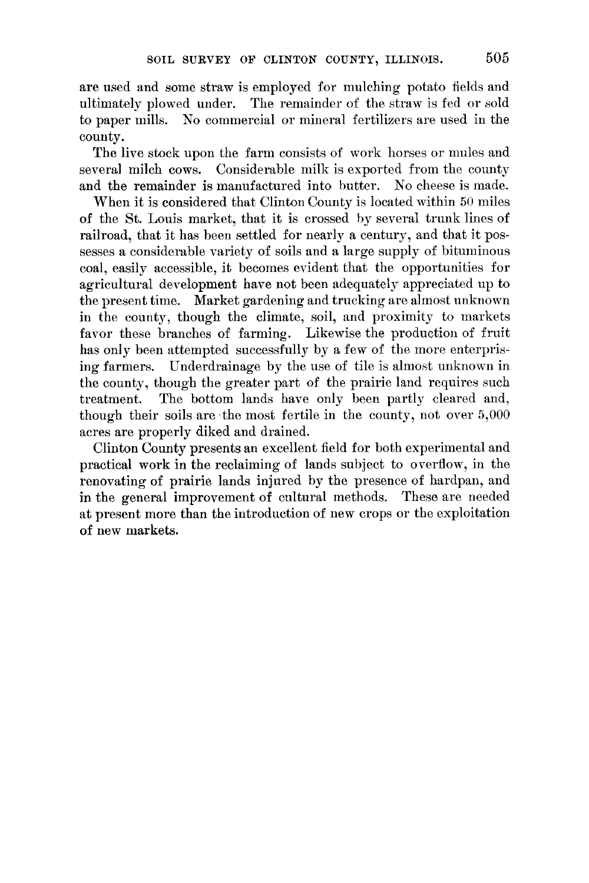are used and some straw is employed for mulching potato fields and ultimately plowed under. The remainder of the straw is fed or sold to paper mills. No commercial or mineral fertilizers are used in the county.

The live stock upon the farm consists of work horses or mules and several milch cows. Considerable milk is exported from the county and the remainder is manufactured into butter. No cheese is made.

When it is considered that Clinton County is located within 50 miles of the St. Louis market, that it is crossed by several trunk lines of railroad, that it has been settled for nearly a century, and that it possesses a considerable variety of soils and a large supply of bituminous coal, easily accessible, it becomes evident that the opportunities for agricultural development have not been adequately appreciated up to the present time. Market gardening and trucking are almost unknown in the county, though the climate, soil, and proximity to markets favor these branches of farming. Likewise the production of fruit has only been attempted successfully by a few of the more enterprising farmers. Underdrainage by the use of tile is almost unknown in the county, though the greater part of the prairie land requires such The bottom lands have only been partly cleared and, treatment. though their soils are the most fertile in the county, not over  $5,000$ acres are properly diked and drained.

Clinton County presents an excellent field for both experimental and practical work in the reclaiming of lands subject to overflow, in the renovating of prairie lands injured by the presence of hardpan, and in the general improvement of cultural methods. These are needed at present more than the introduction of new crops or the exploitation of new markets.